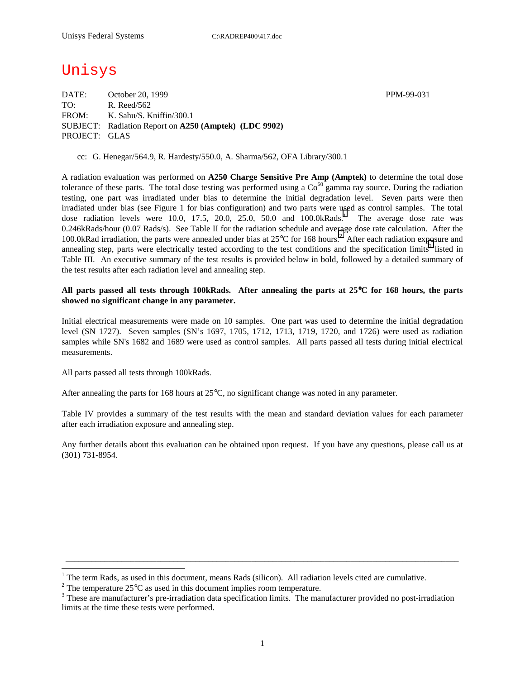# Unisys

DATE: October 20, 1999 PPM-99-031 TO: R. Reed/562 FROM: K. Sahu/S. Kniffin/300.1 SUBJECT: Radiation Report on **A250 (Amptek) (LDC 9902)** PROJECT: GLAS

cc: G. Henegar/564.9, R. Hardesty/550.0, A. Sharma/562, OFA Library/300.1

A radiation evaluation was performed on **A250 Charge Sensitive Pre Amp (Amptek)** to determine the total dose tolerance of these parts. The total dose testing was performed using a  $Co<sup>60</sup>$  gamma ray source. During the radiation testing, one part was irradiated under bias to determine the initial degradation level. Seven parts were then irradiated under bias (see Figure 1 for bias configuration) and two parts were used as control samples. The total dose radiation levels were 10.0, 17.5, 20.0, 25.0, 50.0 and 100.0kRads.<sup>1</sup> The average dose rate was 0.246kRads/hour (0.07 Rads/s). See Table II for the radiation schedule and average dose rate calculation. After the 100.0kRad irradiation, the parts were annealed under bias at  $25^{\circ}$ C for 168 hours.<sup>2</sup> After each radiation exposure and annealing step, parts were electrically tested according to the test conditions and the specification limits<sup>3</sup> listed in Table III. An executive summary of the test results is provided below in bold, followed by a detailed summary of the test results after each radiation level and annealing step.

### **All parts passed all tests through 100kRads. After annealing the parts at 25**°**C for 168 hours, the parts showed no significant change in any parameter.**

Initial electrical measurements were made on 10 samples. One part was used to determine the initial degradation level (SN 1727). Seven samples (SN's 1697, 1705, 1712, 1713, 1719, 1720, and 1726) were used as radiation samples while SN's 1682 and 1689 were used as control samples. All parts passed all tests during initial electrical measurements.

All parts passed all tests through 100kRads.

 $\overline{a}$ 

After annealing the parts for 168 hours at 25°C, no significant change was noted in any parameter.

Table IV provides a summary of the test results with the mean and standard deviation values for each parameter after each irradiation exposure and annealing step.

Any further details about this evaluation can be obtained upon request. If you have any questions, please call us at (301) 731-8954.

\_\_\_\_\_\_\_\_\_\_\_\_\_\_\_\_\_\_\_\_\_\_\_\_\_\_\_\_\_\_\_\_\_\_\_\_\_\_\_\_\_\_\_\_\_\_\_\_\_\_\_\_\_\_\_\_\_\_\_\_\_\_\_\_\_\_\_\_\_\_\_\_\_\_\_\_\_\_\_\_\_\_\_\_\_\_\_\_\_\_\_

<sup>&</sup>lt;sup>1</sup> The term Rads, as used in this document, means Rads (silicon). All radiation levels cited are cumulative.

<sup>&</sup>lt;sup>2</sup> The temperature 25 $^{\circ}$ C as used in this document implies room temperature.  $^3$  These are manufacturer's are irrediction date apositionism limits. The manufacturer's

<sup>&</sup>lt;sup>3</sup> These are manufacturer's pre-irradiation data specification limits. The manufacturer provided no post-irradiation limits at the time these tests were performed.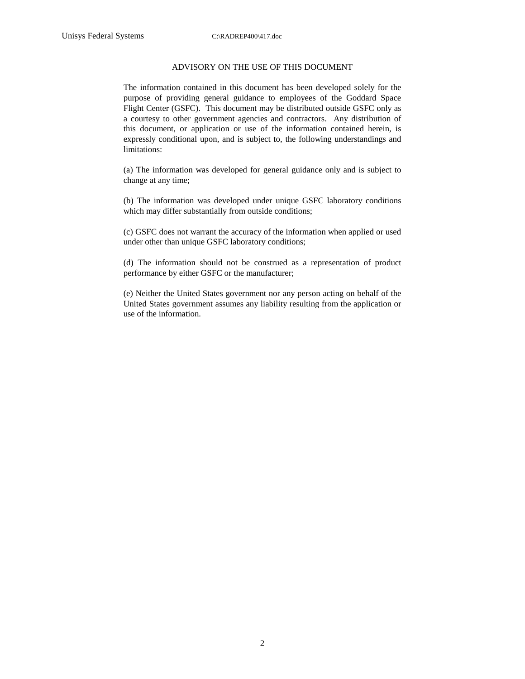#### ADVISORY ON THE USE OF THIS DOCUMENT

The information contained in this document has been developed solely for the purpose of providing general guidance to employees of the Goddard Space Flight Center (GSFC). This document may be distributed outside GSFC only as a courtesy to other government agencies and contractors. Any distribution of this document, or application or use of the information contained herein, is expressly conditional upon, and is subject to, the following understandings and limitations:

(a) The information was developed for general guidance only and is subject to change at any time;

(b) The information was developed under unique GSFC laboratory conditions which may differ substantially from outside conditions;

(c) GSFC does not warrant the accuracy of the information when applied or used under other than unique GSFC laboratory conditions;

(d) The information should not be construed as a representation of product performance by either GSFC or the manufacturer;

(e) Neither the United States government nor any person acting on behalf of the United States government assumes any liability resulting from the application or use of the information.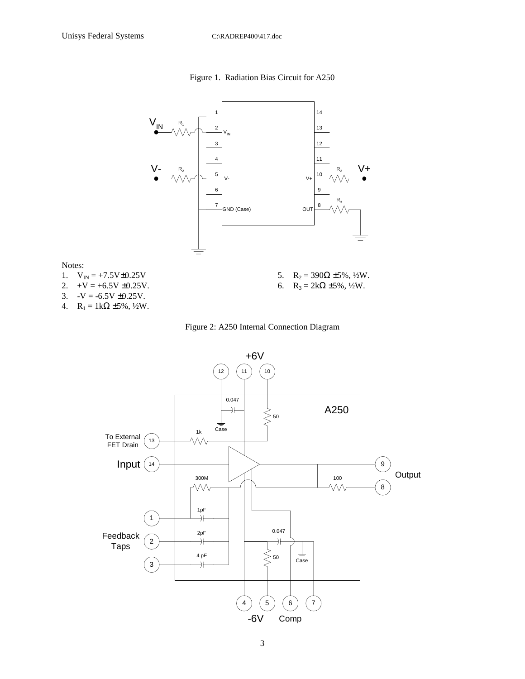#### Figure 1. Radiation Bias Circuit for A250



#### Notes:

- 1.  $V_{IN} = +7.5V \pm 0.25V$
- 2.  $+V = +6.5V \pm 0.25V$ .
- 3.  $-V = -6.5V \pm 0.25V$ .
- 4.  $R_1 = 1k\Omega \pm 5\%, \frac{1}{2}W$ .
- 5.  $R_2 = 390\Omega \pm 5\%, \frac{1}{2}W$ .
- 6.  $R_3 = 2k\Omega \pm 5\%, \frac{1}{2}W$ .



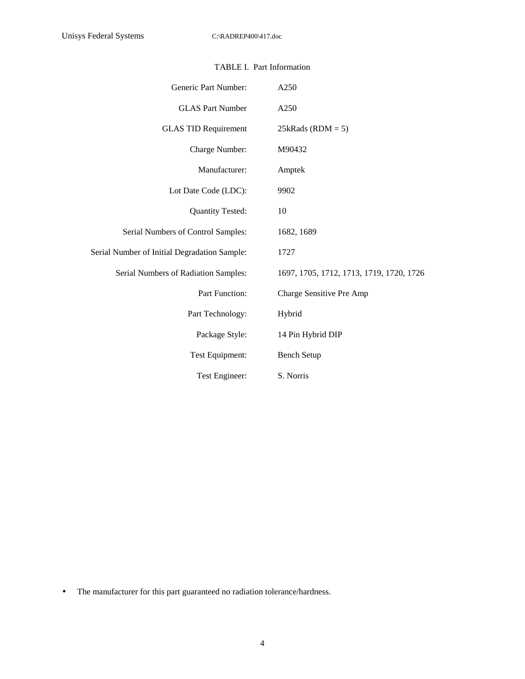| Generic Part Number:                         | A250                                     |
|----------------------------------------------|------------------------------------------|
| <b>GLAS Part Number</b>                      | A250                                     |
| <b>GLAS TID Requirement</b>                  | $25kRads (RDM = 5)$                      |
| Charge Number:                               | M90432                                   |
| Manufacturer:                                | Amptek                                   |
| Lot Date Code (LDC):                         | 9902                                     |
| <b>Quantity Tested:</b>                      | 10                                       |
| Serial Numbers of Control Samples:           | 1682, 1689                               |
| Serial Number of Initial Degradation Sample: | 1727                                     |
| Serial Numbers of Radiation Samples:         | 1697, 1705, 1712, 1713, 1719, 1720, 1726 |
| Part Function:                               | Charge Sensitive Pre Amp                 |
| Part Technology:                             | Hybrid                                   |
| Package Style:                               | 14 Pin Hybrid DIP                        |
| Test Equipment:                              | <b>Bench Setup</b>                       |
| Test Engineer:                               | S. Norris                                |

• The manufacturer for this part guaranteed no radiation tolerance/hardness.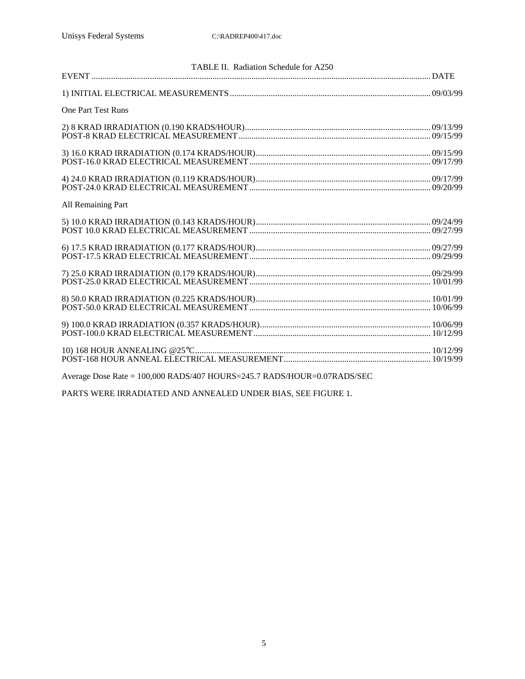| TABLE II. Radiation Schedule for A250                                                                           |  |
|-----------------------------------------------------------------------------------------------------------------|--|
|                                                                                                                 |  |
|                                                                                                                 |  |
| <b>One Part Test Runs</b>                                                                                       |  |
|                                                                                                                 |  |
|                                                                                                                 |  |
|                                                                                                                 |  |
| All Remaining Part                                                                                              |  |
|                                                                                                                 |  |
| $6) 17.5 KRAD IRRADIATION (0.177 KRADS/HOUR)\n   09/27/99\nPOST-17.5 KRAD ELECTRICAL MEASUREMENT \n   09/29/99$ |  |
|                                                                                                                 |  |
| $8) 50.0 KRAD IRRADIATION (0.225 KRADS/HOUR)\n   10/01/99\nPOST-50.0 KRAD ELECTRICAL MEASUREMENT \n   10/06/99$ |  |
|                                                                                                                 |  |
|                                                                                                                 |  |
| Average Dose Rate = 100,000 RADS/407 HOURS=245.7 RADS/HOUR=0.07RADS/SEC                                         |  |

PARTS WERE IRRADIATED AND ANNEALED UNDER BIAS, SEE FIGURE 1.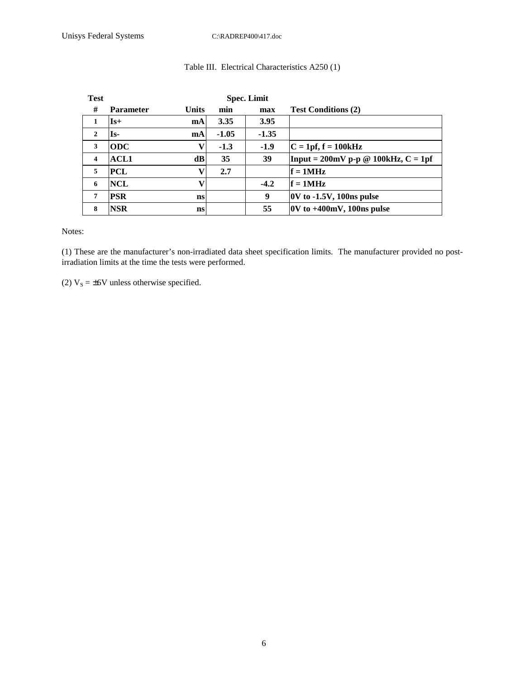| <b>Test</b>  |                  |               |         | <b>Spec. Limit</b> |                                                        |
|--------------|------------------|---------------|---------|--------------------|--------------------------------------------------------|
| #            | <b>Parameter</b> | <b>Units</b>  | min     | max                | <b>Test Conditions (2)</b>                             |
| 1            | $Is+$            | mA            | 3.35    | 3.95               |                                                        |
| $\mathbf{2}$ | Is-              | mA            | $-1.05$ | $-1.35$            |                                                        |
| 3            | <b>ODC</b>       | V             | $-1.3$  | $-1.9$             | $C = 1pf, f = 100kHz$                                  |
| 4            | <b>ACL1</b>      | $\mathbf{dB}$ | 35      | 39                 | Input = $200$ mV p-p @ $100$ kHz, C = 1pf              |
| 5            | PCL              | v             | 2.7     |                    | $f = 1MHz$                                             |
| 6            | <b>NCL</b>       | v             |         | $-4.2$             | $f = 1MHz$                                             |
| 7            | <b>PSR</b>       | ns            |         | 9                  | $ 0V \text{ to } -1.5V, 100 \text{ns pulse} $          |
| 8            | <b>NSR</b>       | ns            |         | 55                 | $ 0V \text{ to } +400 \text{mV}, 100 \text{ns pulse} $ |

## Table III. Electrical Characteristics A250 (1)

Notes:

(1) These are the manufacturer's non-irradiated data sheet specification limits. The manufacturer provided no postirradiation limits at the time the tests were performed.

(2)  $V_s = \pm 6V$  unless otherwise specified.